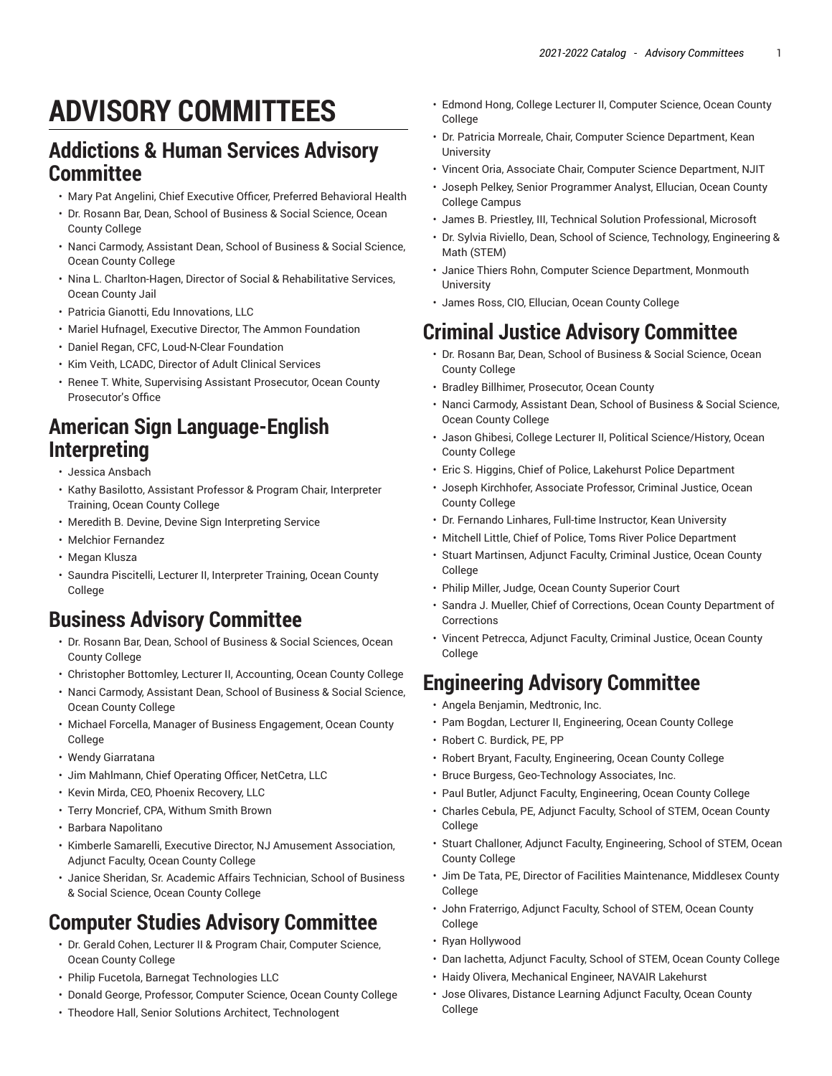# **ADVISORY COMMITTEES**

#### **Addictions & Human Services Advisory Committee**

- Mary Pat Angelini, Chief Executive Officer, Preferred Behavioral Health
- Dr. Rosann Bar, Dean, School of Business & Social Science, Ocean County College
- Nanci Carmody, Assistant Dean, School of Business & Social Science, Ocean County College
- Nina L. Charlton-Hagen, Director of Social & Rehabilitative Services, Ocean County Jail
- Patricia Gianotti, Edu Innovations, LLC
- Mariel Hufnagel, Executive Director, The Ammon Foundation
- Daniel Regan, CFC, Loud-N-Clear Foundation
- Kim Veith, LCADC, Director of Adult Clinical Services
- Renee T. White, Supervising Assistant Prosecutor, Ocean County Prosecutor's Office

# **American Sign Language-English Interpreting**

- Jessica Ansbach
- Kathy Basilotto, Assistant Professor & Program Chair, Interpreter Training, Ocean County College
- Meredith B. Devine, Devine Sign Interpreting Service
- Melchior Fernandez
- Megan Klusza
- Saundra Piscitelli, Lecturer II, Interpreter Training, Ocean County College

## **Business Advisory Committee**

- Dr. Rosann Bar, Dean, School of Business & Social Sciences, Ocean County College
- Christopher Bottomley, Lecturer II, Accounting, Ocean County College
- Nanci Carmody, Assistant Dean, School of Business & Social Science, Ocean County College
- Michael Forcella, Manager of Business Engagement, Ocean County College
- Wendy Giarratana
- Jim Mahlmann, Chief Operating Officer, NetCetra, LLC
- Kevin Mirda, CEO, Phoenix Recovery, LLC
- Terry Moncrief, CPA, Withum Smith Brown
- Barbara Napolitano
- Kimberle Samarelli, Executive Director, NJ Amusement Association, Adjunct Faculty, Ocean County College
- Janice Sheridan, Sr. Academic Affairs Technician, School of Business & Social Science, Ocean County College

# **Computer Studies Advisory Committee**

- Dr. Gerald Cohen, Lecturer II & Program Chair, Computer Science, Ocean County College
- Philip Fucetola, Barnegat Technologies LLC
- Donald George, Professor, Computer Science, Ocean County College
- Theodore Hall, Senior Solutions Architect, Technologent
- Edmond Hong, College Lecturer II, Computer Science, Ocean County College
- Dr. Patricia Morreale, Chair, Computer Science Department, Kean **University**
- Vincent Oria, Associate Chair, Computer Science Department, NJIT
- Joseph Pelkey, Senior Programmer Analyst, Ellucian, Ocean County College Campus
- James B. Priestley, III, Technical Solution Professional, Microsoft
- Dr. Sylvia Riviello, Dean, School of Science, Technology, Engineering & Math (STEM)
- Janice Thiers Rohn, Computer Science Department, Monmouth **University**
- James Ross, CIO, Ellucian, Ocean County College

## **Criminal Justice Advisory Committee**

- Dr. Rosann Bar, Dean, School of Business & Social Science, Ocean County College
- Bradley Billhimer, Prosecutor, Ocean County
- Nanci Carmody, Assistant Dean, School of Business & Social Science, Ocean County College
- Jason Ghibesi, College Lecturer II, Political Science/History, Ocean County College
- Eric S. Higgins, Chief of Police, Lakehurst Police Department
- Joseph Kirchhofer, Associate Professor, Criminal Justice, Ocean County College
- Dr. Fernando Linhares, Full-time Instructor, Kean University
- Mitchell Little, Chief of Police, Toms River Police Department
- Stuart Martinsen, Adjunct Faculty, Criminal Justice, Ocean County College
- Philip Miller, Judge, Ocean County Superior Court
- Sandra J. Mueller, Chief of Corrections, Ocean County Department of Corrections
- Vincent Petrecca, Adjunct Faculty, Criminal Justice, Ocean County **College**

## **Engineering Advisory Committee**

- Angela Benjamin, Medtronic, Inc.
- Pam Bogdan, Lecturer II, Engineering, Ocean County College
- Robert C. Burdick, PE, PP
- Robert Bryant, Faculty, Engineering, Ocean County College
- Bruce Burgess, Geo-Technology Associates, Inc.
- Paul Butler, Adjunct Faculty, Engineering, Ocean County College
- Charles Cebula, PE, Adjunct Faculty, School of STEM, Ocean County College
- Stuart Challoner, Adjunct Faculty, Engineering, School of STEM, Ocean County College
- Jim De Tata, PE, Director of Facilities Maintenance, Middlesex County College
- John Fraterrigo, Adjunct Faculty, School of STEM, Ocean County College
- Ryan Hollywood
- Dan Iachetta, Adjunct Faculty, School of STEM, Ocean County College
- Haidy Olivera, Mechanical Engineer, NAVAIR Lakehurst
- Jose Olivares, Distance Learning Adjunct Faculty, Ocean County College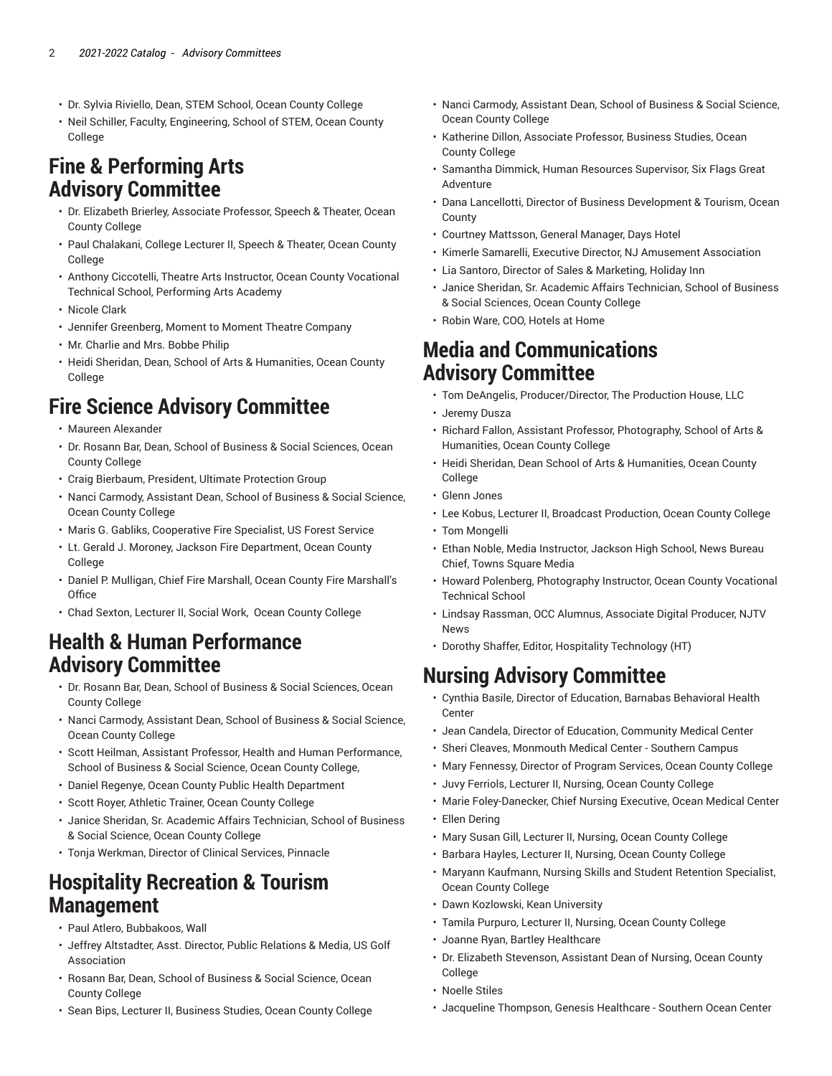- Dr. Sylvia Riviello, Dean, STEM School, Ocean County College
- Neil Schiller, Faculty, Engineering, School of STEM, Ocean County College

#### **Fine & Performing Arts Advisory Committee**

- Dr. Elizabeth Brierley, Associate Professor, Speech & Theater, Ocean County College
- Paul Chalakani, College Lecturer II, Speech & Theater, Ocean County College
- Anthony Ciccotelli, Theatre Arts Instructor, Ocean County Vocational Technical School, Performing Arts Academy
- Nicole Clark
- Jennifer Greenberg, Moment to Moment Theatre Company
- Mr. Charlie and Mrs. Bobbe Philip
- Heidi Sheridan, Dean, School of Arts & Humanities, Ocean County College

## **Fire Science Advisory Committee**

- Maureen Alexander
- Dr. Rosann Bar, Dean, School of Business & Social Sciences, Ocean County College
- Craig Bierbaum, President, Ultimate Protection Group
- Nanci Carmody, Assistant Dean, School of Business & Social Science, Ocean County College
- Maris G. Gabliks, Cooperative Fire Specialist, US Forest Service
- Lt. Gerald J. Moroney, Jackson Fire Department, Ocean County College
- Daniel P. Mulligan, Chief Fire Marshall, Ocean County Fire Marshall's **Office**
- Chad Sexton, Lecturer II, Social Work, Ocean County College

## **Health & Human Performance Advisory Committee**

- Dr. Rosann Bar, Dean, School of Business & Social Sciences, Ocean County College
- Nanci Carmody, Assistant Dean, School of Business & Social Science, Ocean County College
- Scott Heilman, Assistant Professor, Health and Human Performance, School of Business & Social Science, Ocean County College,
- Daniel Regenye, Ocean County Public Health Department
- Scott Royer, Athletic Trainer, Ocean County College
- Janice Sheridan, Sr. Academic Affairs Technician, School of Business & Social Science, Ocean County College
- Tonja Werkman, Director of Clinical Services, Pinnacle

#### **Hospitality Recreation & Tourism Management**

- Paul Atlero, Bubbakoos, Wall
- Jeffrey Altstadter, Asst. Director, Public Relations & Media, US Golf Association
- Rosann Bar, Dean, School of Business & Social Science, Ocean County College
- Sean Bips, Lecturer II, Business Studies, Ocean County College
- Nanci Carmody, Assistant Dean, School of Business & Social Science, Ocean County College
- Katherine Dillon, Associate Professor, Business Studies, Ocean County College
- Samantha Dimmick, Human Resources Supervisor, Six Flags Great Adventure
- Dana Lancellotti, Director of Business Development & Tourism, Ocean County
- Courtney Mattsson, General Manager, Days Hotel
- Kimerle Samarelli, Executive Director, NJ Amusement Association
- Lia Santoro, Director of Sales & Marketing, Holiday Inn
- Janice Sheridan, Sr. Academic Affairs Technician, School of Business & Social Sciences, Ocean County College
- Robin Ware, COO, Hotels at Home

#### **Media and Communications Advisory Committee**

- Tom DeAngelis, Producer/Director, The Production House, LLC
- Jeremy Dusza
- Richard Fallon, Assistant Professor, Photography, School of Arts & Humanities, Ocean County College
- Heidi Sheridan, Dean School of Arts & Humanities, Ocean County College
- Glenn Jones
- Lee Kobus, Lecturer II, Broadcast Production, Ocean County College
- Tom Mongelli
- Ethan Noble, Media Instructor, Jackson High School, News Bureau Chief, Towns Square Media
- Howard Polenberg, Photography Instructor, Ocean County Vocational Technical School
- Lindsay Rassman, OCC Alumnus, Associate Digital Producer, NJTV News
- Dorothy Shaffer, Editor, Hospitality Technology (HT)

## **Nursing Advisory Committee**

- Cynthia Basile, Director of Education, Barnabas Behavioral Health Center
- Jean Candela, Director of Education, Community Medical Center
- Sheri Cleaves, Monmouth Medical Center Southern Campus
- Mary Fennessy, Director of Program Services, Ocean County College
- Juvy Ferriols, Lecturer II, Nursing, Ocean County College
- Marie Foley-Danecker, Chief Nursing Executive, Ocean Medical Center
- Ellen Dering
- Mary Susan Gill, Lecturer II, Nursing, Ocean County College
- Barbara Hayles, Lecturer II, Nursing, Ocean County College
- Maryann Kaufmann, Nursing Skills and Student Retention Specialist, Ocean County College
- Dawn Kozlowski, Kean University
- Tamila Purpuro, Lecturer II, Nursing, Ocean County College
- Joanne Ryan, Bartley Healthcare
- Dr. Elizabeth Stevenson, Assistant Dean of Nursing, Ocean County College
- Noelle Stiles
- Jacqueline Thompson, Genesis Healthcare Southern Ocean Center